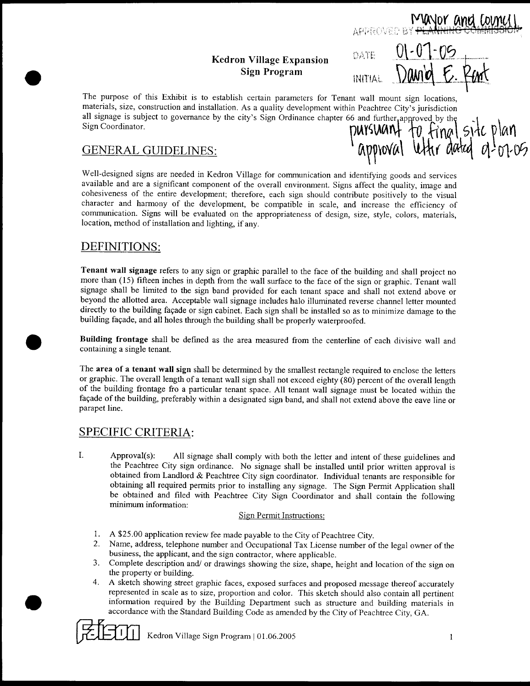### Kedron Village Expansion Sign Program INITIAL

01-07-05<br>David E. Rent DATE Sign Program INITIAL DOM

BY PLANNING COMMISSION

The purpose of this Exhibit is to establish certain parameters for Tenant wall mount sign locations materials, size, construction and installation. As a quality development within Peachtree City's jurisdiction all signage is subject to governance by the city's Sign Ordinance chapter 66 and further approved by the  $\mathbb{T}$ Sign Coordinator

#### **GENERAL GUIDELINES:**

in Peachtree City's jurisdiction<br>6 and further approved by the<br>**PUYSUANT** TO Final SiTE PLAY  $\mathcal{U}$ mount sign locations,<br>tree City's jurisdiction<br>urther approved by the<br>**NOVAl** Utter dated 01-01-05

Well designed signs are needed in Kedron Village for communication and identifying goods and services available and are a significant component of the overall environment. Signs affect the quality, image and cohesiveness of the entire development; therefore, each sign should contribute positively to the visual character and harmony of the development, be compatible in scale, and increase the efficiency of communication. Signs will be evaluated on the appropriateness of design, size, style, colors, materials, location, method of installation and lighting, if any.

#### DEFINITIONS

e

Tenant wall signage refers to any sign or graphic parallel to the face of the building and shall project no more than (15) fifteen inches in depth from the wall surface to the face of the sign or graphic. Tenant wall signage shall be limited to the sign band provided for each tenant space and shall not extend above or beyond the allotted area. Acceptable wall signage includes halo illuminated reverse channel letter mounted directly to the building façade or sign cabinet. Each sign shall be installed so as to minimize damage to the building façade, and all holes through the building shall be properly waterproofed.

Building frontage shall be defmed as the area measured from the centerline of each divisive wall and containing <sup>a</sup> single tenant

The area of a tenant wall sign shall be determined by the smallest rectangle required to enclose the letters or graphic. The overall length of a tenant wall sign shall not exceed eighty (80) percent of the overall length of the building frontage fro <sup>a</sup> particular tenant space All tenant wall signage must be located within the façade of the building, preferably within a designated sign band, and shall not extend above the eave line or parapet line

#### SPECIFIC CRITERIA

1. Approval(s): All signage shall comply with both the letter and intent of these guidelines and the Peachtree City sign ordinance. No signage shall be installed until prior written approval is obtained from Landlord & Peachtree City sign coordinator. Individual tenants are responsible for obtaining all required permits prior to installing any signage. The Sign Permit Application shall be obtained and filed with Peachtree City Sign Coordinator and shall contain the following minimum information

#### Sign Permit Instructions

- 1. A \$25.00 application review fee made payable to the City of Peachtree City.
- 2. Name, address, telephone number and Occupational Tax License number of the legal owner of the business, the applicant, and the sign contractor, where applicable.
- 3. Complete description and/ or drawings showing the size, shape, height and location of the sign on the property or building.
- 4. A sketch showing street graphic faces, exposed surfaces and proposed message thereof accurately represented in scale as to size, proportion and color. This sketch should also contain all pertinent information required by the Building Department such as structure and building materials in accordance with the Standard Building Code as amended by the City of Peachtree City, GA.



Kedron Village Sign Program  $|01.06.2005$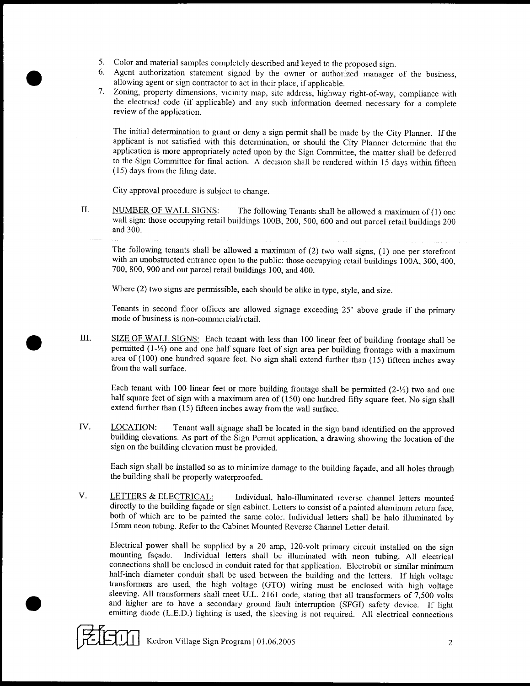- 5. Color and material samples completely described and keyed to the proposed sign.
- <sup>6</sup> Agent authorization statement signed by the owner or authorized manager of the business allowing agent or sign contractor to act in their place, if applicable.
- 7. Zoning, property dimensions, vicinity map, site address, highway right-of-way, compliance with the electrical code (if applicable) and any such information deemed necessary for a complete review of the application

The initial determination to grant or deny a sign permit shall be made by the City Planner. If the applicant is not satisfied with this determination or should the City Planner determine that the application is more appropriately acted upon by the Sign Committee, the matter shall be deferred to the Sign Committee for final action. A decision shall be rendered within 15 days within fifteen  $(15)$  days from the filing date.

City approval procedure is subject to change

e

e

II. NUMBER OF WALL SIGNS: The following Tenants shall be allowed a maximum of (1) one wall sign: those occupying retail buildings 100B, 200, 500, 600 and out parcel retail buildings 200 and 300

The following tenants shall be allowed a maximum of  $(2)$  two wall signs,  $(1)$  one per storefront with an unobstructed entrance open to the public: those occupying retail buildings 100A, 300, 400, 700, 800, 900 and out parcel retail buildings 100, and 400.

Where  $(2)$  two signs are permissible, each should be alike in type, style, and size.

Tenants in second floor offices are allowed signage exceeding 25' above grade if the primary mode of business is non-commercial/retail.

III. SIZE OF WALL SIGNS: Each tenant with less than 100 linear feet of building frontage shall be permitted  $(1-\frac{1}{2})$  one and one half square feet of sign area per building frontage with a maximum area of (100) one hundred square feet. No sign shall extend further than (15) fifteen inches away from the wall surface

Each tenant with 100 linear feet or more building frontage shall be permitted  $(2-\frac{1}{2})$  two and one half square feet of sign with a maximum area of  $(150)$  one hundred fifty square feet. No sign shall extend further than (15) fifteen inches away from the wall surface.

IV. LOCATION: Tenant wall signage shall be located in the sign band identified on the approved building elevations As part of the Sign Permit application <sup>a</sup> drawing showing the location of the sign on the building elevation must be provided

Each sign shall be installed so as to minimize damage to the building façade, and all holes through the building shall be properly waterproofed

V. LETTERS & ELECTRICAL: Individual, halo-illuminated reverse channel letters mounted directly to the building façade or sign cabinet. Letters to consist of a painted aluminum return face, both of which are to be painted the same color. Individual letters shall be halo illuminated by 15mm neon tubing. Refer to the Cabinet Mounted Reverse Channel Letter detail.

Electrical power shall be supplied by a 20 amp, 120-volt primary circuit installed on the sign mounting fayade Individual letters shall be illuminated with neon tubing All electrical connections shall be enclosed in conduit rated for that application. Electrobit or similar minimum half-inch diameter conduit shall be used between the building and the letters. If high voltage transformers are used, the high voltage (GTO) wiring must be enclosed with high voltage sleeving. All transformers shall meet U.L. 2161 code, stating that all transformers of  $7.500$  volts and higher are to have a secondary ground fault interruption (SFGI) safety device. If light emitting diode (L.E.D.) lighting is used, the sleeving is not required. All electrical connections

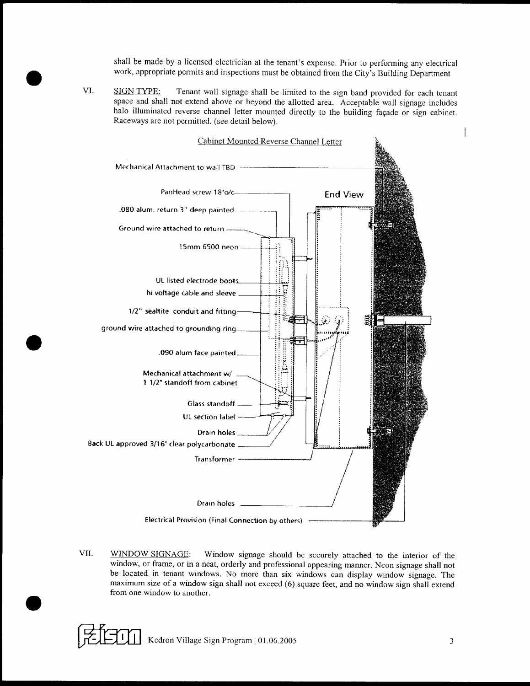shall be made by a licensed electrician at the tenant's expense. Prior to performing any electrical work, appropriate permits and inspections must be obtained from the  $\text{Citv's}$  Building Department

VI. SIGN TYPE: Tenant wall signage shall be limited to the sign band provided for each tenant space and shall not extend above or beyond the allotted area. Acceptable wall signage includes halo illuminated reverse channel letter mounted directly to the building façade or sign cabinet. Raceways are not permitted. (see detail below).

e



VII. WINDOW SIGNAGE: Window signage should be securely attached to the interior of the window, or frame, or in a neat, orderly and professional appearing manner. Neon signage shall not be located in tenant windows No more than six windows can display window signage The maximum size of a window sign shall not exceed (6) square feet, and no window sign shall extend from one window to another.

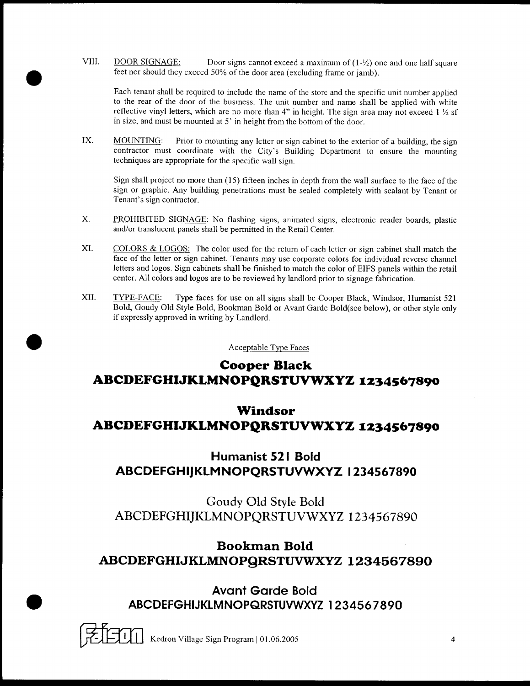VIII. DOOR SIGNAGE: Door signs cannot exceed a maximum of  $(1-\frac{1}{2})$  one and one half square feet nor should they exceed 50% of the door area (excluding frame or jamb).

e

Each tenant shall be required to include the name of the store and the specific unit number applied to the rear of the door of the business. The unit number and name shall be applied with white reflective vinyl letters, which are no more than 4" in height. The sign area may not exceed  $1 \frac{1}{2}$  sf in size, and must be mounted at  $5'$  in height from the bottom of the door.

IX. MOUNTING: Prior to mounting any letter or sign cabinet to the exterior of a building, the sign contractor must coordinate with the City's Building Department to ensure the mounting techniques are appropriate for the specific wall sign

Sign shall project no more than (15) fifteen inches in depth from the wall surface to the face of the sign or graphic. Any building penetrations must be sealed completely with sealant by Tenant or Tenant's sign contractor.

- X. PROHIBITED SIGNAGE: No flashing signs, animated signs, electronic reader boards, plastic and/or translucent panels shall be permitted in the Retail Center.
- XI. COLORS & LOGOS: The color used for the return of each letter or sign cabinet shall match the face of the letter or sign cabinet. Tenants may use corporate colors for individual reverse channel letters and logos. Sign cabinets shall be finished to match the color of EIFS panels within the retail center. All colors and logos are to be reviewed by landlord prior to signage fabrication.
- XII. TYPE-FACE: Type faces for use on all signs shall be Cooper Black, Windsor, Humanist 521 Bold, Goudy Old Style Bold, Bookman Bold or Avant Garde Bold(see below), or other style only if expressly approved in writing by Landlord

Acceptable Type Faces

# Cooper Black ABCDEFGHIJKLMNOPQRSTUVWXYZ 1234567890

# Windsor ABCDEFGHIJKLMNOPQRSTUVWXYZ 1234567890

# Humanist 521 Bold ABCDEFGHIJKLMNOPQRSTUVWXYZ 1234567890

Goudy Old Style Bold ABCDEFGHIJKLMNOPQRSTUVWXYZ 1234567890

# Bookman Bold ABCDEFGHIJKLMNOPQRSTUVWXYZ 1234567890

Avant Garde Bold ABCDEFGHIJKLMNOPQRSTUVWXYZ 1234567890

Kedron Village Sign Program | 01.06.2005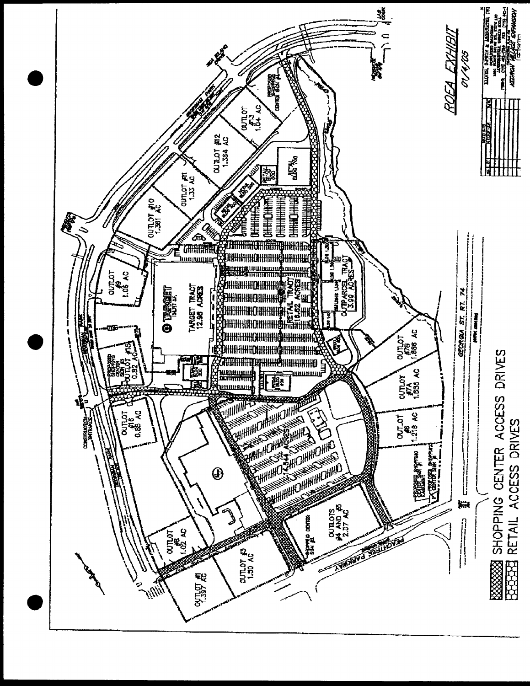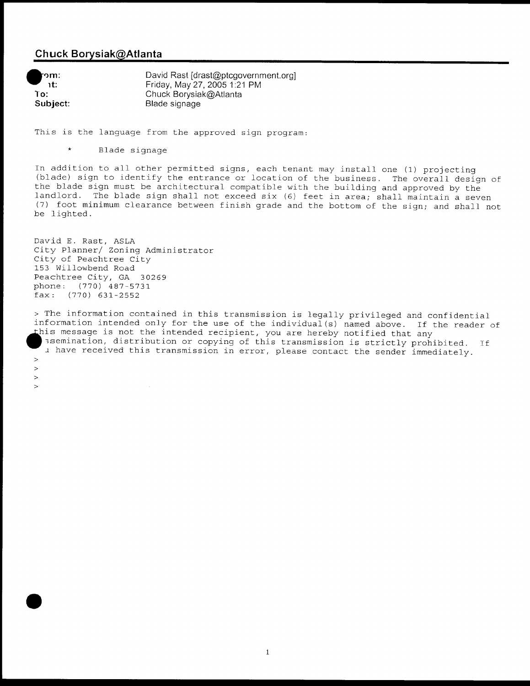## Chuck Borysiak@Atlanta

າm: nt: To Subject

e

 $\rightarrow$  $\geq$  $\rightarrow$  $\geq$  David Rast [drast@ptcgovernment.org] Friday, May 27, 2005 1:21 PM Chuck Borysiak@Atlanta Blade signage

This is the language from the approved sign program:

Blade signage

In addition to all other permitted signs, each tenant may install one (1) projecting (blade) sign to identify the entrance or location of the business. The overall design of the blade sign must be architectural compatible with the building and approved by the landlord. The blade sign shall not exceed six (6) feet in area; shall maintain a seven (7) foot minimum clearance between finish grade and the bottom of the sign; and shall not be lighted.

David E. Rast, ASLA City Planner/ Zoning Administrator City of Peachtree City 153 willowbend Road Peachtree City, GA 30269 phone: (770) 487-5731  $fax:$  (770) 631-2552

The information contained in this transmission is legally privileged and confidential information intended only for the use of the individual (s) named above. If the reader of this message is not the intended recipient, you are hereby notified that any ssemination, distribution or copying of this transmission is strictly prohibited. If i have received this transmission in error, please contact the sender immediately.

 $\mathbf{1}$